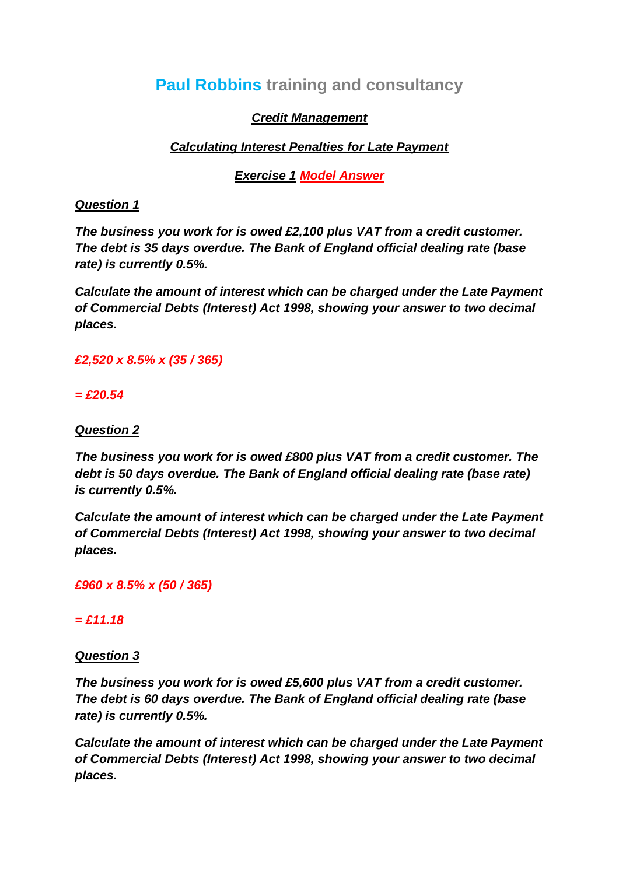# **Paul Robbins training and consultancy**

### *Credit Management*

## *Calculating Interest Penalties for Late Payment*

*Exercise 1 Model Answer*

#### *Question 1*

*The business you work for is owed £2,100 plus VAT from a credit customer. The debt is 35 days overdue. The Bank of England official dealing rate (base rate) is currently 0.5%.*

*Calculate the amount of interest which can be charged under the Late Payment of Commercial Debts (Interest) Act 1998, showing your answer to two decimal places.*

### *£2,520 x 8.5% x (35 / 365)*

#### *= £20.54*

### *Question 2*

*The business you work for is owed £800 plus VAT from a credit customer. The debt is 50 days overdue. The Bank of England official dealing rate (base rate) is currently 0.5%.*

*Calculate the amount of interest which can be charged under the Late Payment of Commercial Debts (Interest) Act 1998, showing your answer to two decimal places.*

*£960 x 8.5% x (50 / 365)* 

### *= £11.18*

### *Question 3*

*The business you work for is owed £5,600 plus VAT from a credit customer. The debt is 60 days overdue. The Bank of England official dealing rate (base rate) is currently 0.5%.*

*Calculate the amount of interest which can be charged under the Late Payment of Commercial Debts (Interest) Act 1998, showing your answer to two decimal places.*